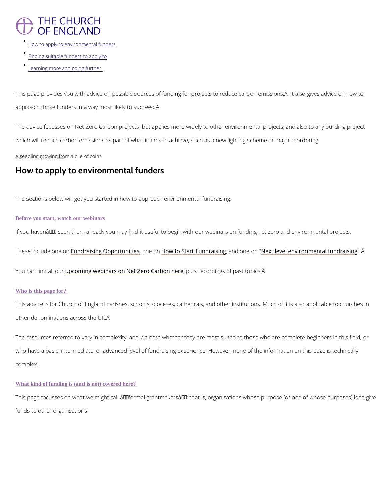# **THE CHURCH** OF ENGLAND

- [How to apply to environm](/node/42942/printable/print#how-to-apply-to-environmental-funders)ental funders
- [Finding suitable funde](/node/42942/printable/print#finding-suitable-funders-to-apply-to)rs to apply to
- [Learning more and go](/node/42942/printable/print#learning-more-and-going-further-)ing further

This page provides you with advice on possible sources of funding for projects to reduce car approach those funders in a way most likely to succeed.

The advice focusses on Net Zero Carbon projects, but applies more widely to other environmental projects, and a which will reduce carbon emissions as part of what it aims to achieve, such as a new lighting

 $A_{n}$  see edling growing  $f_{\psi}$  om a pile of coins

## How to apply to environmental funders

This advice is for Church of England parishes, schools, dioceses, cathedrals, and other insti other denominations across the UK.

The sections below will get you started in how to approach environmental fundraising.

## Before you start; watch our webinars

If you havenâ $\epsilon$ ™t seen them already you may find it useful to begin with our webinars on fun

These include Founned roanising Oppo,rtounneithideonsw to Start Fun,dananidsionngeNent" level environmental".fÂundra

You can find upplot our and webinars on Net Zero p Cuasion enturies of past topics. A

The resources referred to vary in complexity, and we note whether they are most suited to th who have a basic, intermediate, or advanced level of fundraising experience. However, none complex.

## Who is this page for?

This page focusses on what we might call  $\hat{a} \in \tilde{a}$  formal grantmakers $\hat{a} \in \tilde{a}$ , that is, organisations

funds to other organisations.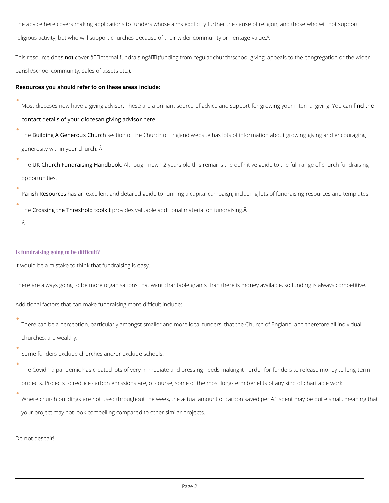The advice here covers making applications to funders whose aims explicitly further the caus religious activity, but who will support churches because of their wider community or heritag

This resourcmet choevser  $\hat{a} \in \tilde{a}$  internal fundraising $\hat{a} \in \tilde{a}$  (funding from regular church/school giving, parish/school community, sales of assets etc.).

Th[e Building A Generou](https://www.churchofengland.org/resources/building-generous-church)s e Chiurr to fthe Church of England website has lots of information about and the Church of England website has lots of information about  $\overline{a}$ generosity within your church. Â

Resources you should refer to on these areas include:

Most dioceses now have a giving advisor. These are a brilliant source of advice and msdupt per [contact details of your diocesan g](https://www.churchofengland.org/resources/building-generous-church/about-national-giving-team/diocesan-giving-advisors)iving advisor here

The K Church Fundraising Haatthobuogon k now 12 years old this remains the definitive guide to the opportunities.

[Parish Res](https://www.parishresources.org.uk/capital-campaign-workshop-resources-2017/)obasean excellent and detailed guide to running a capital campaign, including lo

Th $\bigoplus$  rossing the Threshoplrob viodod kit aluable additional material on fundraising.  $\tilde{A}$ 

There can be a perception, particularly amongst smaller and more local funders, that the C churches, are wealthy.

## Is fundraising going to be difficult?

It would be a mistake to think that fundraising is easy.

There are always going to be more organisations that want charitable grants than there is mo

Additional factors that can make fundraising more difficult include:

Some funders exclude churches and/or exclude schools.

The Covid-19 pandemic has created lots of very immediate and pressing needs making it ha

projects. Projects to reduce carbon emissions are, of course, some of the most long-term b

Where church buildings are not used throughout the week, the actual amount of carbon save

your project may not look compelling compared to other similar projects.

Do not despair!

Â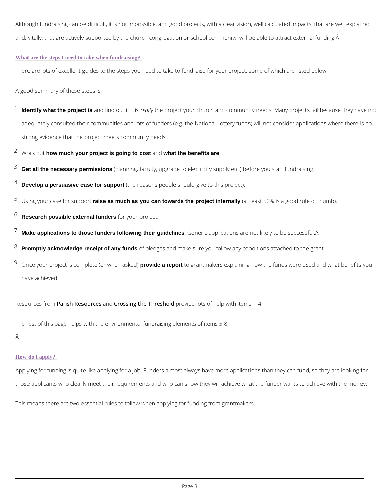Although fundraising can be difficult, it is not impossible, and good projects, with a clear vist and, vitally, that are actively supported by the church congregation or school community, wil

#### What are the steps I need to take when fundraising?

There are lots of excellent guides to the steps you need to take to fundraise for your project

 $^1$  Identify what the project is and find outreita lithy esproject your church and community needs. Many projec adequately consulted their communities and lots of funders (e.g. the National Lottery funds strong evidence that the project meets community needs .

 $2 \cdot W$  o r k bout much your project is going to cost and what the benefits are .

- $3$  Get all the necessary permissions (planning, faculty, upgrade to electricity supply etc.) before you sta  $4$  Develop a persuasive case for support (the reasons people should give to this project).
- $5\cdot$ Using your case foanises as pompunch rats you can towards the project internally (at least 50% is a good rule of thum  $6$  Research possible external funders for your project.

 $^7$  Make applications to those funders following their guidelines . Generic applications are not likely to be success

 $^8$  Promptly acknowledge receipt of any funds of pledges and make sure you follow any conditions attached

A good summary of these steps is:

 $^{9}$  Once your project is completeprovide aw repormt a sokedd partmakers explaining how the funds were used have achieved.

Resources Pfaonsh Resound Cerso ssing the Threshold elots of help with items 1-4.

The rest of this page helps with the environmental fundraising elements of items 5-8. Â

#### How do I apply?

Applying for funding is quite like applying for a job. Funders almost always have more applic

those applicants who clearly meet their requirements and who can show they will achieve what

This means there are two essential rules to follow when applying for funding from grantmake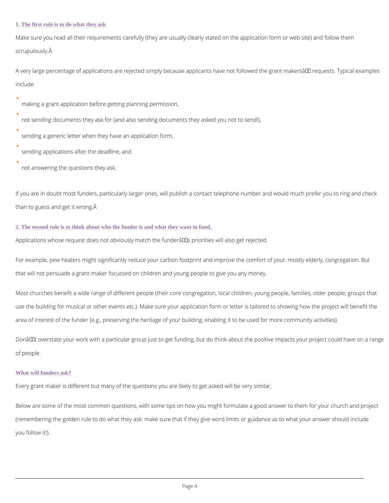#### 1. The first rule is to do what they ask

Make sure you read all their requirements carefully (they are usually clearly stated on the application form or web sitely stated on the application form or web sitely stated on the application or web sitely them. The mode scrupulously.

A very large percentage of applications are rejected simply because applicants have not follo include

making a grant application before getting planning permission,

not sending documents they ask for (and also sending documents they asked you not to sen

If you are in doubt most funders, particularly larger ones, will publish a contact telephone n than to guess and get it wrong.

sending a generic letter when they have an application form,

sending applications after the deadline, and

not answering the questions they ask.

### 2. The second rule is to think about who the funder is and what they want to fund.

Applications whose request does not obviously match the funder $\hat{a} \in \text{TM}$ s priorities will also get

For example, pew heaters might significantly reduce your carbon footprint and improve the comport of  $\sim$ that will not persuade a grant-maker focussed on children and young people to give you any

Most churches benefit a wide range of different people (their core congregation, local children,  $\alpha$ use the building for musical or other events etc.). Make sure your application form or letter area of interest of the funder (e.g., preserving the heritage of your building, enabling it to b

Donâ $\epsilon$ <sup>TM</sup> t overstate your work with a particular group just to get funding, but do think about t of people.

#### What will funders ask?

Every grant maker is different but many of the questions you are likely to get asked will be v

Below are some of the most common questions, with some tips on how you might formulate a

(remembering the golden rule to do what they ask: make sure that if they give word limits or

you follow it!).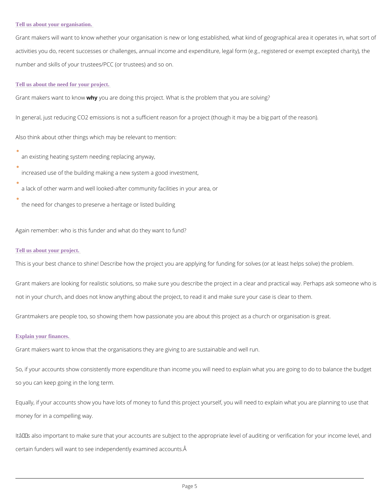#### Tell us about your organisation.

Grant makers will want to know whether your organisation is new or long established, what k activities you do, recent successes or challenges, annual income and expenditure, legal form number and skills of your trustees/PCC (or trustees) and so on.

#### Tell us about the need for your project.

Grant makers wanwhy oy boow e doing this project. What is the problem that you are solving?

In general, just reducing CO2 emissions is not a sufficient reason for a project (though it ma

Also think about other things which may be relevant to mention:

an existing heating system needing replacing anyway,

increased use of the building making a new system a good investment,

a lack of other warm and well looked-after community facilities in your area, or

the need for changes to preserve a heritage or listed building

Again remember: who is this funder and what do they want to fund?

#### Tell us about your project.

This is your best chance to shine! Describe how the project you are applying for funding for

Grant makers are looking for realistic solutions, so make sure you describe the project in a not in your church, and does not know anything about the project, to read it and make sure y

Grantmakers are people too, so showing them how passionate you are about this project as a

Itâ $\epsilon$ <sup>TM</sup>s also important to make sure that your accounts are subject to the appropriate level o certain funders will want to see independently examined accounts.

#### Explain your finances.

Grant makers want to know that the organisations they are giving to are sustainable and well

So, if your accounts show consistently more expenditure than income you will need to explain

so you can keep going in the long term.

Equally, if your accounts show you have lots of money to fund this project yourself, you will

money for in a compelling way.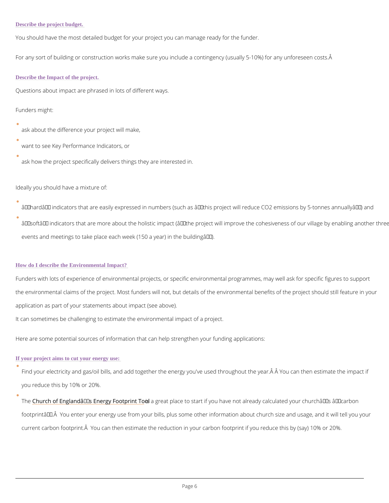You should have the most detailed budget for your project you can manage ready for the fund

For any sort of building or construction works make sure you include a contingency (usually

Describe the Impact of the project.

Questions about impact are phrased in lots of different ways.

Funders might:

ask about the difference your project will make,

want to see Key Performance Indicators, or

ask how the project specifically delivers things they are interested in.

Ideally you should have a mixture of:

 $\hat{\mathbf{a}} \in \tilde{\mathbb{C}}$ hard $\hat{\mathbf{a}} \in \mathbb{M}$  indicators that are easily expressed in numbers (such as  $\hat{\mathbf{a}} \in \mathbf{\hat{c}}$ this project will  $\hat{a} \in \tilde{a}$  indicators that are more about the holistic impact ( $\hat{a} \in \tilde{c}$  athe project will improve events and meetings to take place each week (150 a year) in the building  $\hat{a} \in \bullet$ ).

Funders with lots of experience of environmental projects, or specific environmental program the environmental claims of the project. Most funders will not, but details of the environment application as part of your statements about impact (see above).

#### How do I describe the Environmental Impact?

It can sometimes be challenging to estimate the environmental impact of a project.

Here are some potential sources of information that can help strengthen your funding applications:

If your project aims to cut your energy use:

Find your electricity and gas/oil bills, and add together the energy you've used throughout

you reduce this by 10% or 20%.

The Church of England 's Enerigsy a Fgoetptipt a To a bart if you have not already calculated your church's 'c footprintâ $\in$ ™. You enter your energy use from your bills, plus some other information abo current carbon footprint. Â You can then estimate the reduction in your carbon footprint if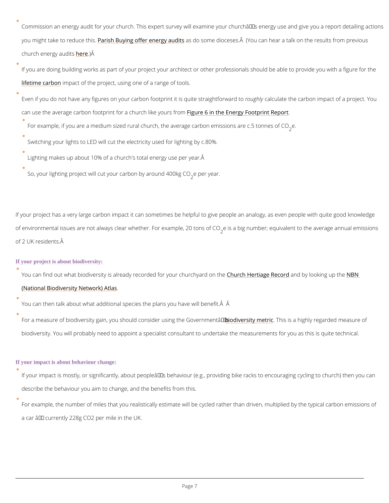Commission an energy audit for your church. This expert survey will examine your churchâ $\epsilon$ you might take to r<mark>ePonuicsehtBhusy.ing offer e</mark>n**asgoloasidme** dioceses. Å (You can hear a talk on th church energyh**eue)Ä**rs

If you are doing building works as part of your project your architect or other professionals [lifetime ca](https://www.architecture.com/knowledge-and-resources/resources-landing-page/whole-life-carbon-assessment-for-architects)rbo pact of the project, using one of a range of tools.

Even if you do not have any figures on your carbon footporungtholity licsulgautiet ethsetrariaght of minomaprad ctt cof can use the average carbon footprint for  $\bar{\mathbf{a}}$  ighue  $c\mathbf{0}$  inke heolin  $\mathbf{s}$  rigo m Footprint Report

- For example, if you are a medium sized rural church, the average<sub>2</sub> earbon emissions are c.
- Switching your lights to LED will cut the electricity used for lighting by c.80%.
- Lighting makes up about 10% of a church's total energy use per year.
- So, your lighting project will cut your carbomeby aaound 400kg CO

If your project has a very large carbon impact it can sometimes be helpful to give people an of environmental issues are not always clear whethear.isFoarbeixgamupmhob,e2;0 etopunisvaolfe nCtO to the aver of 2 UK residents.

You can find out what biodiversity is already recordCehduforh yHoeurnti**alge raRhedcaborryd loonokheeny Bulgi**the [\(National Biodiversity N](https://burialgrounds-places.nbnatlas.org/search?q=#tabs-2)etwork) Atlas .

You can then talk about what additional species the plans you have will benefit.  $\hat{A}$ 

For a measure of [biodiversity](https://www.gov.uk/guidance/biodiversity-metric-calculate-the-biodiversity-net-gain-of-a-project-or-development) gain, you should conbiolerivees is in the the Georgian meant  $\hat{B}$  of The squarded measure of biodiversity gain, you should conbiolerive simily the The Squarded measure of this is a highly r biodiversity. You will probably need to appoint a specialist consultant to undertake the mea

#### If your project is about biodiversity:

#### If your impact is about behaviour change:

If your impact is mostly, or significantly, about peopleâ $\in$   $\mathbb {M}$ s behaviour (e.g., providing bike

describe the behaviour you aim to change, and the benefits from this.

For example, the number of miles that you realistically estimate will be cycled rather than

a car  $\hat{a} \in \hat{ }$  currently 228g CO2 per mile in the UK.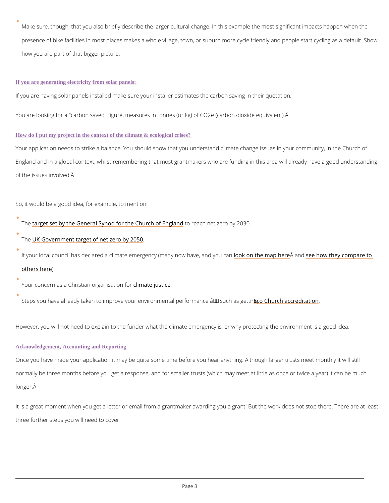Make sure, though, that you also briefly describe the larger cultural change. In this exampl presence of bike facilities in most places makes a whole village, town, or suburb more cycl how you are part of that bigger picture.

#### If you are generating electricity from solar panels:

If you are having solar panels installed make sure your installer estimates the carbon saving

You are looking for a "carbon saved" figure, measures in tonnes (or kg) of CO2e (carbon dio:

Your application needs to strike a balance. You should show that you understand climate cha England and in a global context, whilst remembering that most grantmakers who are funding of the issues involved.

How do I put my project in the context of the climate & ecological crises?

So, it would be a good idea, for example, to mention:

The arget set by the General Synod for the oCrheuarch not tEznegrica rbdy 2030.

The K Government target of net zero by 2050

If your local council has declared a climate emergendy o(km**an**ythm**e wm a<sup>p</sup>a vatengobeen on** owno uthoeayn compar

[others h](https://councilclimatescorecards.uk/)ere

Your concern as a Christian colimenant espection of or

Steps you have already taken to improve your environmentadop Enformance rae fit suom as getting

However, you will not need to explain to the funder what the climate emergency is, or why pr

#### Acknowledgement, Accounting and Reporting

Once you have made your application it may be quite some time before you hear anything. Al normally be three months before you get a response, and for smaller trusts (which may meet

longer.

It is a great moment when you get a letter or email from a grantmaker awarding you a grant!

three further steps you will need to cover: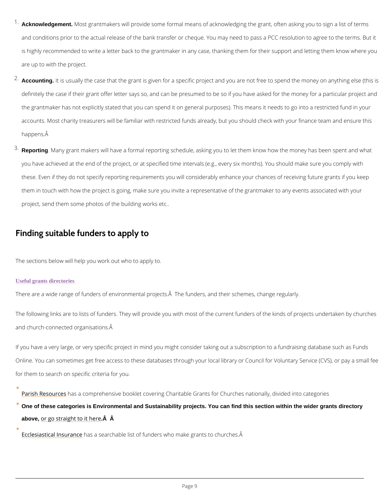- $^1$  Acknowledgement. Most grantmakers will provide some formal means of acknowledging the grant, and conditions prior to the actual release of the bank transfer or cheque. You may need to is highly recommended to write a letter back to the grantmaker in any case, thanking them are up to with the project.
- $2$  Accounting. It is usually the case that the grant is given for a specific project and you are not definitely the case if their grant offer letter says so, and can be presumed to be so if you l the grantmaker has not explicitly stated that you can spend it on general purposes). This m accounts. Most charity treasurers will be familiar with restricted funds already, but you sho happens.  $\hat{A}$
- $^3$  Reporting . Many grant makers will have a formal reporting schedule, asking you to let them kn you have achieved at the end of the project, or at specified time intervals (e.g., every six months) these. Even if they do not specify reporting requirements you will considerably enhance you them in touch with how the project is going, make sure you invite a representative of the gi project, send them some photos of the building works etc..

The following links are to lists of funders. They will provide you with most of the current fun and church-connected organisations.

If you have a very large, or very specific project in mind you might consider taking out a sub Online. You can sometimes get free access to these databases through your local library or  $\theta$ 

## Finding suitable funders to apply to

The sections below will help you work out who to apply to.

#### Useful grants directories

 $\bullet$ 

There are a wide range of funders of environmental projects. Â The funders, and their schem

for them to search on specific criteria for you.

[Parish Res](https://www.parishresources.org.uk/wp-content/uploads/Charitable-Grants-for-Churches-Jul-2020.pdf)obasea comprehensive booklet covering Charitable Grants for Churches nationall

One of these categories is Environmental and Sustainability projects. You can find this section within the wider grants directory

above, or go straight  $t\hat{\mathbf{A}}$   $\hat{\mathbf{A}}$ t here

[Ecclesiastical I](https://www.ecclesiastical.com/church/fundraising/funds/)nhsaus raan searchable list of funders who make grants to churches. Â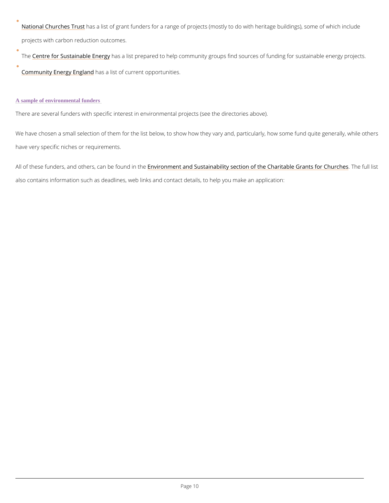[National Church](https://www.nationalchurchestrust.org/get-support/buildings-maintenance/major-grant-funders)ers Trassitst of grant funders for a range of projects (mostly to do with herita projects with carbon reduction outcomes.

Th[e Centre for Sustaina](https://www.cse.org.uk/local-energy/funding-your-project)bhes E a digly prepared to help community groups find sources of funding [Community Energy](https://communityenergyengland.org/pages/funding-opportunities-2) Easslandst of current opportunities.

We have chosen a small selection of them for the list below, to show how they vary and, part have very specific niches or requirements.

All of these funders, and others, Ecnavnirboen minoeunt daind the stainability section of the CharitTahbel efull also contains information such as deadlines, web links and contact details, to help you make

### A sample of environmental funders

There are several funders with specific interest in environmental projects (see the directorie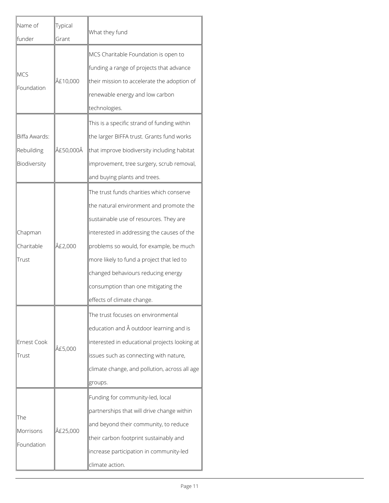| Name of<br>∥funder                          | Typical<br> Grant | What they fund                                                                                                                                                                                                                                                                                                                                                                 |  |
|---------------------------------------------|-------------------|--------------------------------------------------------------------------------------------------------------------------------------------------------------------------------------------------------------------------------------------------------------------------------------------------------------------------------------------------------------------------------|--|
| <b>MCS</b><br>Foundation                    | £10,000           | MCS Charitable Foundation is open to<br>funding a range of projects that advance<br>$ $ their mission to accelerate the adoption of<br>renewable energy and low carbon<br>technologies.                                                                                                                                                                                        |  |
| Biffa Awards:<br>Rebuilding<br>Biodiversity | £50,000Â          | This is a specific strand of funding within<br>the larger BIFFA trust. Grants fund works<br>that improve biodiversity including habitat<br> improvement, tree surgery, scrub removal,<br>and buying plants and trees.                                                                                                                                                          |  |
| Chapman<br>Charitable<br>Trust              | £2,000            | The trust funds charities which conserve<br>the natural environment and promote the<br>sustainable use of resources. They are<br>interested in addressing the causes of the<br>problems so would, for example, be much<br>more likely to fund a project that led to<br>changed behaviours reducing energy<br>consumption than one mitigating the<br>effects of climate change. |  |
| <b>Ernest Cook</b><br>Trust                 | £5,000            | The trust focuses on environmental<br>education and $\hat{A}$ outdoor learning and is<br>interested in educational projects looking at<br>issues such as connecting with nature,<br>climate change, and pollution, across all age<br>groups.                                                                                                                                   |  |
| The<br>Morrisons<br>Foundation              | £25,000           | Funding for community-led, local<br>partnerships that will drive change within<br>and beyond their community, to reduce<br>their carbon footprint sustainably and<br>increase participation in community-led<br>climate action.                                                                                                                                                |  |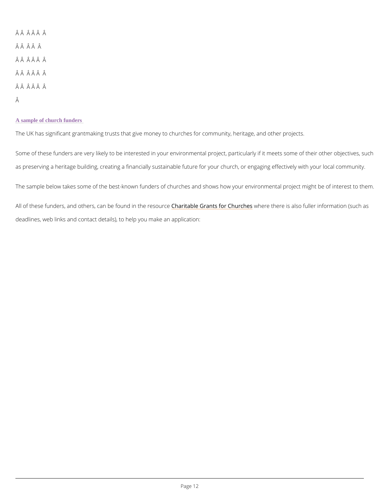ÂÂ Â Â Â Â ÂÂ Â Â Â ÂÂ Â Â Â Â ÂÂÂÂÂÂÂ ÂÂ ÂÂ Â Â Â

### A sample of church funders

The UK has significant grantmaking trusts that give money to churches for community, herita

Some of these funders are very likely to be interested in your environmental project, particu as preserving a heritage building, creating a financially sustainable future for your church, d

The sample below takes some of the best-known funders of churches and shows how your env

All of these funders, and others, can be faund bilne the reants of corrow the four charge is also fuller informa deadlines, web links and contact details), to help you make an application: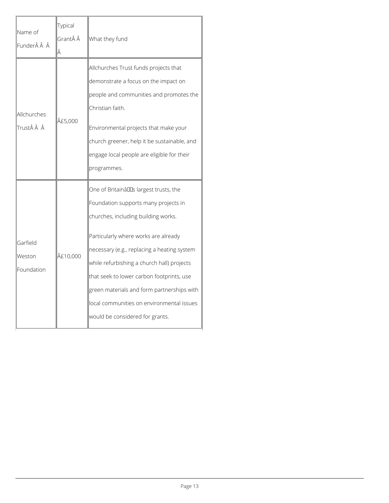| Name of<br> FunderÂÂÂ            | Typical<br>Grant Â                                                                                                                                                                                                                                                                                          | What they fund                                                                                                                                                                                                                                                                                                                                                                                                                          |  |
|----------------------------------|-------------------------------------------------------------------------------------------------------------------------------------------------------------------------------------------------------------------------------------------------------------------------------------------------------------|-----------------------------------------------------------------------------------------------------------------------------------------------------------------------------------------------------------------------------------------------------------------------------------------------------------------------------------------------------------------------------------------------------------------------------------------|--|
| Allchurches<br> TrustÂÂÂ         | Allchurches Trust funds projects that<br>demonstrate a focus on the impact on<br>people and communities and promotes the<br>Christian faith.<br>£5,000<br>Environmental projects that make your<br>church greener, help it be sustainable, and<br>engage local people are eligible for their<br>programmes. |                                                                                                                                                                                                                                                                                                                                                                                                                                         |  |
| Garfield<br>Weston<br>Foundation | £10,000                                                                                                                                                                                                                                                                                                     | One of Britainâlles largest trusts, the<br>Foundation supports many projects in<br>churches, including building works.<br>Particularly where works are already<br> necessary (e.g., replacing a heating system<br>while refurbishing a church hall) projects<br>that seek to lower carbon footprints, use<br>green materials and form partnerships with<br>local communities on environmental issues<br>would be considered for grants. |  |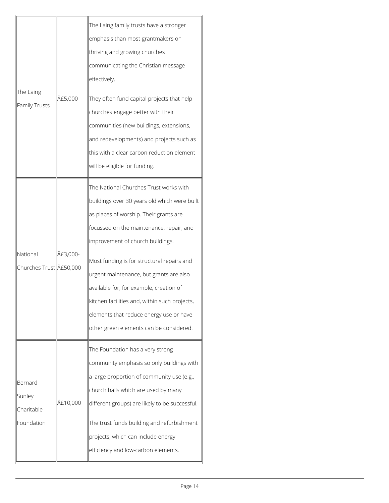| The Laing<br><b>Family Trusts</b>                                                                          | £5,000 | The Laing family trusts have a stronger<br>emphasis than most grantmakers on<br>thriving and growing churches<br>communicating the Christian message                                                                                                                                                                                                                                                                                                                                        |  |
|------------------------------------------------------------------------------------------------------------|--------|---------------------------------------------------------------------------------------------------------------------------------------------------------------------------------------------------------------------------------------------------------------------------------------------------------------------------------------------------------------------------------------------------------------------------------------------------------------------------------------------|--|
|                                                                                                            |        | effectively.<br>They often fund capital projects that help<br>churches engage better with their<br>communities (new buildings, extensions,<br>and redevelopments) and projects such as<br>this with a clear carbon reduction element<br>will be eligible for funding.                                                                                                                                                                                                                       |  |
| £3,000-<br>National<br>Churches Trust  £50,000<br>Bernard<br>Sunley<br>£10,000<br>Charitable<br>Foundation |        | The National Churches Trust works with<br>buildings over 30 years old which were built<br>as places of worship. Their grants are<br>focussed on the maintenance, repair, and<br>improvement of church buildings.<br>Most funding is for structural repairs and<br>urgent maintenance, but grants are also<br>available for, for example, creation of<br>kitchen facilities and, within such projects,<br>elements that reduce energy use or have<br>other green elements can be considered. |  |
|                                                                                                            |        | The Foundation has a very strong<br>community emphasis so only buildings with<br>a large proportion of community use (e.g.,<br>church halls which are used by many<br>different groups) are likely to be successful.<br>The trust funds building and refurbishment<br>projects, which can include energy<br>efficiency and low-carbon elements.                                                                                                                                             |  |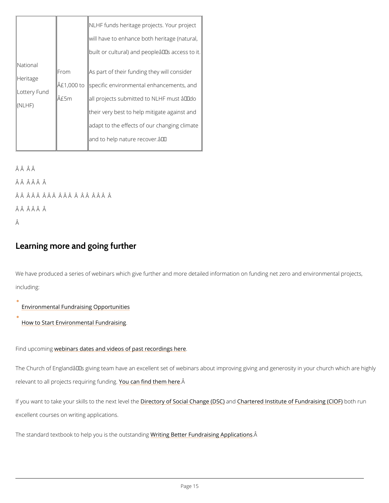|                        |      | NLHF funds heritage project∥s. Your project                             |  |
|------------------------|------|-------------------------------------------------------------------------|--|
|                        |      | will have to enhance both heritage (natural,                            |  |
|                        |      | built or cultural) and people 's access to it.                          |  |
| National               | From | $\parallel$ As part of their funding the $\parallel$ will consider      |  |
| Heritage               |      | $\hat{A}$ £1,00 $\hat{\phi}$ stppecific environmental enhancements, and |  |
| Lottery Fund<br>(NLHF) | £5m  | ∥all projects submitted to NLHF must "do                                |  |
|                        |      | their very best to help mitig  ate against and                          |  |
|                        |      | adapt to the effects of our dhanging climate                            |  |
|                        |      | and to help nature recover.a $\epsilon$ .                               |  |
|                        |      |                                                                         |  |

ÂÂ Â Â

ÂÂ ÂÂ Â Â

ÂÂ ÂÂ Â Â Â Â Â Â Â Â Â Â Â Â Â

ÂÂ Â Â Â Â

Â

We have produced a series of webinars which give further and more detailed information on f including:

## Learning more and going further

[Environmental Fundraising](https://www.youtube.com/watch?v=LlHGKp4vM8E&list=PLcc_HT5TeqjqWpAe5J1Peexc2WoV5UxL6) Opportunities

[How to Start Environmenta](https://www.youtube.com/watch?v=ZkurJk-EQfg&list=PLcc_HT5TeqjqWpAe5J1Peexc2WoV5UxL6&index=3)l Fundraising

Find upcometognars dates and videos of past recordings here

The Church of England's giving team have an excellent set of webinars about improving g

relevant to all projects re<mark>quoiui a gnf tim chint them</mark> e Am here

If you want to take your skills toDintehetoneyx to feSveetitahleChaam@hea(rDheSn@e)d Institute of Fundbanitshingun(Cl

excellent courses on writing applications.

The standard textbook to help you <u>Wisitti meg oBuettstean Flumgdraising</u> ÂApplications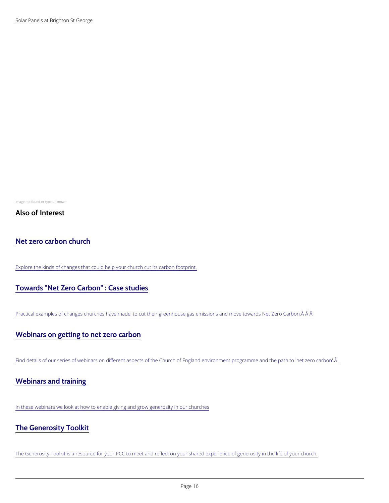Solar Panels at Brighton St George

Image not found or type unknown

Also of Interest

[Net zero carbon church](/resources/churchcare/net-zero-carbon-church)

Explore the kinds of changes that could help your church cut its carbon footprint.

[Towards "Net Zero Carbon" : Case studies](/about/environment-and-climate-change/toward-net-zero-carbon-case-studies)

Practical examples of changes churches have made, to cut their greenhouse gas emissions and move tow

[Webinars on getting to net zero carbon](/about/environment-and-climate-change/webinars-getting-net-zero-carbon)

Find details of our series of webinars on different aspects of the Church of England environment prograr

In these webinars we look at how to enable giving and grow generosity in our churches

## [The Generosity Toolkit](/resources/building-generous-church/webinars-and-training/generosity-toolkit)

The Generosity Toolkit is a resource for your PCC to meet and reflect on your shared experience of gene